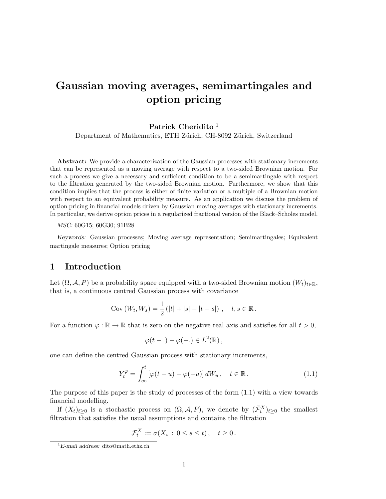# Gaussian moving averages, semimartingales and option pricing

## Patrick Cheridito<sup>1</sup>

Department of Mathematics, ETH Zürich, CH-8092 Zürich, Switzerland

Abstract: We provide a characterization of the Gaussian processes with stationary increments that can be represented as a moving average with respect to a two-sided Brownian motion. For such a process we give a necessary and sufficient condition to be a semimartingale with respect to the filtration generated by the two-sided Brownian motion. Furthermore, we show that this condition implies that the process is either of finite variation or a multiple of a Brownian motion with respect to an equivalent probability measure. As an application we discuss the problem of option pricing in financial models driven by Gaussian moving averages with stationary increments. In particular, we derive option prices in a regularized fractional version of the Black–Scholes model.

#### MSC: 60G15; 60G30; 91B28

Keywords: Gaussian processes; Moving average representation; Semimartingales; Equivalent martingale measures; Option pricing

# 1 Introduction

Let  $(\Omega, \mathcal{A}, P)$  be a probability space equipped with a two-sided Brownian motion  $(W_t)_{t \in \mathbb{R}}$ , that is, a continuous centred Gaussian process with covariance

Cov 
$$
(W_t, W_s) = \frac{1}{2} (|t| + |s| - |t - s|)
$$
,  $t, s \in \mathbb{R}$ .

For a function  $\varphi : \mathbb{R} \to \mathbb{R}$  that is zero on the negative real axis and satisfies for all  $t > 0$ ,

$$
\varphi(t-.) - \varphi(-.) \in L^2(\mathbb{R}),
$$

one can define the centred Gaussian process with stationary increments,

$$
Y_t^{\varphi} = \int_{\infty}^t \left[ \varphi(t - u) - \varphi(-u) \right] dW_u, \quad t \in \mathbb{R}.
$$
 (1.1)

The purpose of this paper is the study of processes of the form (1.1) with a view towards financial modelling.

If  $(X_t)_{t\geq 0}$  is a stochastic process on  $(\Omega, \mathcal{A}, P)$ , we denote by  $(\bar{\mathcal{F}}_t^X)_{t\geq 0}$  the smallest filtration that satisfies the usual assumptions and contains the filtration

$$
\mathcal{F}_t^X := \sigma(X_s : 0 \le s \le t), \quad t \ge 0.
$$

 ${}^{1}E$ -mail address: dito@math.ethz.ch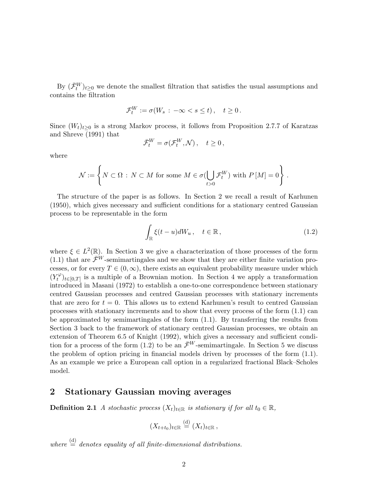By  $(\bar{\mathcal{F}}_t^W)_{t\geq0}$  we denote the smallest filtration that satisfies the usual assumptions and contains the filtration

$$
\mathcal{F}_t^W := \sigma(W_s: -\infty < s \leq t), \quad t \geq 0.
$$

Since  $(W_t)_{t>0}$  is a strong Markov process, it follows from Proposition 2.7.7 of Karatzas and Shreve (1991) that

$$
\bar{\mathcal{F}}_t^W = \sigma(\mathcal{F}_t^W, \mathcal{N}), \quad t \ge 0,
$$

where

$$
\mathcal{N} := \left\{ N \subset \Omega \, : \, N \subset M \text{ for some } M \in \sigma(\bigcup_{t>0} \mathcal{F}_t^W) \text{ with } P\left[M\right] = 0 \right\} \, .
$$

The structure of the paper is as follows. In Section 2 we recall a result of Karhunen (1950), which gives necessary and sufficient conditions for a stationary centred Gaussian process to be representable in the form

$$
\int_{\mathbb{R}} \xi(t-u)dW_u, \quad t \in \mathbb{R},
$$
\n(1.2)

where  $\xi \in L^2(\mathbb{R})$ . In Section 3 we give a characterization of those processes of the form (1.1) that are  $\mathcal{F}^W$ -semimartingales and we show that they are either finite variation processes, or for every  $T \in (0,\infty)$ , there exists an equivalent probability measure under which  $(Y_t^{\varphi})$  $\mathcal{H}^{\varphi}_{t}$ <sub>t∈[0,T]</sub> is a multiple of a Brownian motion. In Section 4 we apply a transformation introduced in Masani (1972) to establish a one-to-one correspondence between stationary centred Gaussian processes and centred Gaussian processes with stationary increments that are zero for  $t = 0$ . This allows us to extend Karhunen's result to centred Gaussian processes with stationary increments and to show that every process of the form (1.1) can be approximated by semimartingales of the form (1.1). By transferring the results from Section 3 back to the framework of stationary centred Gaussian processes, we obtain an extension of Theorem 6.5 of Knight (1992), which gives a necessary and sufficient condition for a process of the form (1.2) to be an  $\bar{\mathcal{F}}^W$ -semimartingale. In Section 5 we discuss the problem of option pricing in financial models driven by processes of the form (1.1). As an example we price a European call option in a regularized fractional Black–Scholes model.

## 2 Stationary Gaussian moving averages

**Definition 2.1** A stochastic process  $(X_t)_{t \in \mathbb{R}}$  is stationary if for all  $t_0 \in \mathbb{R}$ ,

$$
(X_{t+t_0})_{t\in\mathbb{R}}\stackrel{\text{(d)}}{=} (X_t)_{t\in\mathbb{R}},
$$

where  $\stackrel{\text{(d)}}{=}$  denotes equality of all finite-dimensional distributions.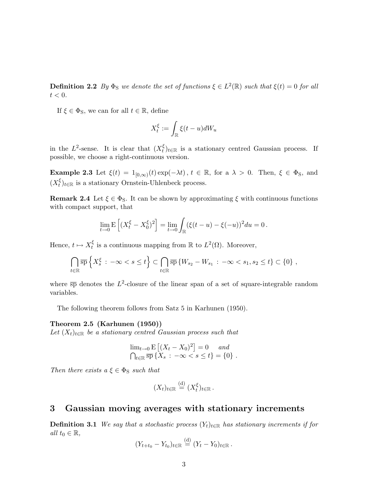**Definition 2.2** By  $\Phi_{\rm S}$  we denote the set of functions  $\xi \in L^2(\mathbb{R})$  such that  $\xi(t) = 0$  for all  $t < 0$ .

If  $\xi \in \Phi_S$ , we can for all  $t \in \mathbb{R}$ , define

$$
X_t^{\xi} := \int_{\mathbb{R}} \xi(t - u) dW_u
$$

in the  $L^2$ -sense. It is clear that  $(X_t^{\xi})$  $\zeta_t^{\xi}$ <sub>t</sub> is a stationary centred Gaussian process. If possible, we choose a right-continuous version.

**Example 2.3** Let  $\xi(t) = 1_{[0,\infty)}(t) \exp(-\lambda t)$ ,  $t \in \mathbb{R}$ , for a  $\lambda > 0$ . Then,  $\xi \in \Phi_S$ , and  $(X_t^{\xi})$  $\zeta_t^{\xi}$ <sub>t</sub> $\in \mathbb{R}$  is a stationary Ornstein-Uhlenbeck process.

**Remark 2.4** Let  $\xi \in \Phi_S$ . It can be shown by approximating  $\xi$  with continuous functions with compact support, that

$$
\lim_{t \to 0} \mathbf{E} \left[ (X_t^{\xi} - X_0^{\xi})^2 \right] = \lim_{t \to 0} \int_{\mathbb{R}} (\xi(t - u) - \xi(-u))^2 du = 0.
$$

Hence,  $t \mapsto X_t^{\xi}$  $t_t^{\xi}$  is a continuous mapping from  $\mathbb R$  to  $L^2(\Omega)$ . Moreover,

$$
\bigcap_{t\in\mathbb{R}}\overline{\rm sp}\left\{X_s^{\xi}:\ -\infty
$$

where  $\overline{sp}$  denotes the  $L^2$ -closure of the linear span of a set of square-integrable random variables.

The following theorem follows from Satz 5 in Karhunen (1950).

#### Theorem 2.5 (Karhunen (1950))

Let  $(X_t)_{t\in\mathbb{R}}$  be a stationary centred Gaussian process such that

$$
\lim_{t \to 0} E [(X_t - X_0)^2] = 0 \text{ and}
$$
  

$$
\bigcap_{t \in \mathbb{R}} \overline{\text{sp}} \{X_s : -\infty < s \leq t\} = \{0\}.
$$

Then there exists  $a \xi \in \Phi_S$  such that

$$
(X_t)_{t\in\mathbb{R}}\stackrel{\text{(d)}}{=} (X_t^{\xi})_{t\in\mathbb{R}}.
$$

## 3 Gaussian moving averages with stationary increments

**Definition 3.1** We say that a stochastic process  $(Y_t)_{t \in \mathbb{R}}$  has stationary increments if for all  $t_0 \in \mathbb{R}$ ,

$$
(Y_{t+t_0}-Y_{t_0})_{t\in\mathbb{R}}\stackrel{\text{(d)}}{=} (Y_t-Y_0)_{t\in\mathbb{R}}.
$$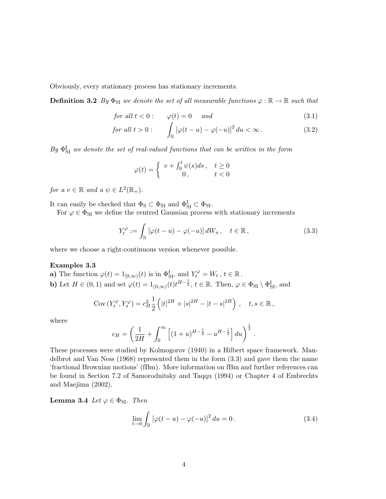Obviously, every stationary process has stationary increments.

**Definition 3.2** By  $\Phi_{SI}$  we denote the set of all measurable functions  $\varphi : \mathbb{R} \to \mathbb{R}$  such that

$$
for all t < 0: \qquad \varphi(t) = 0 \qquad and \tag{3.1}
$$

for all 
$$
t > 0
$$
:  
\nfor all  $t > 0$ :  
\n
$$
\int_{\mathbb{R}} \left[ \varphi(t-u) - \varphi(-u) \right]^2 du < \infty.
$$
\n(3.2)

 $By \Phi_{SI}^I$  we denote the set of real-valued functions that can be written in the form

$$
\varphi(t) = \begin{cases} v + \int_0^t \psi(s)ds \, , & t \ge 0 \\ 0 \, , & t < 0 \end{cases}
$$

for a  $v \in \mathbb{R}$  and a  $\psi \in L^2(\mathbb{R}_+).$ 

It can easily be checked that  $\Phi_S \subset \Phi_{SI}$  and  $\Phi_{SI}^I \subset \Phi_{SI}$ .

For  $\varphi \in \Phi_{\text{SI}}$  we define the centred Gaussian process with stationary increments

$$
Y_t^{\varphi} := \int_{\mathbb{R}} \left[ \varphi(t - u) - \varphi(-u) \right] dW_u, \quad t \in \mathbb{R}, \tag{3.3}
$$

where we choose a right-continuous version whenever possible.

#### Examples 3.3

**a)** The function  $\varphi(t) = 1_{[0,\infty)}(t)$  is in  $\Phi_{\text{SI}}^{\text{I}}$ , and  $Y_t^{\varphi} = W_t$ ,  $t \in \mathbb{R}$ . **b**) Let  $H \in (0, 1)$  and set  $\varphi(t) = 1_{(0,\infty)}(t)t^{H-\frac{1}{2}}, t \in \mathbb{R}$ . Then,  $\varphi \in \Phi_{\text{SI}} \setminus \Phi_{\text{SI}}^{\text{I}}$ , and

Cov 
$$
(Y_t^{\varphi}, Y_s^{\varphi}) = c_H^2 \frac{1}{2} (|t|^{2H} + |s|^{2H} - |t - s|^{2H})
$$
,  $t, s \in \mathbb{R}$ ,

where

$$
c_H = \left(\frac{1}{2H} + \int_0^\infty \left[ (1+u)^{H-\frac{1}{2}} - u^{H-\frac{1}{2}} \right] du \right)^{\frac{1}{2}}.
$$

These processes were studied by Kolmogorov (1940) in a Hilbert space framework. Mandelbrot and Van Ness (1968) represented them in the form (3.3) and gave them the name 'fractional Brownian motions' (fBm). More information on fBm and further references can be found in Section 7.2 of Samorodnitsky and Taqqu (1994) or Chapter 4 of Embrechts and Maejima (2002).

**Lemma 3.4** Let  $\varphi \in \Phi_{\text{SI}}$ . Then

$$
\lim_{t \to 0} \int_{\mathbb{R}} \left[ \varphi(t - u) - \varphi(-u) \right]^2 du = 0. \tag{3.4}
$$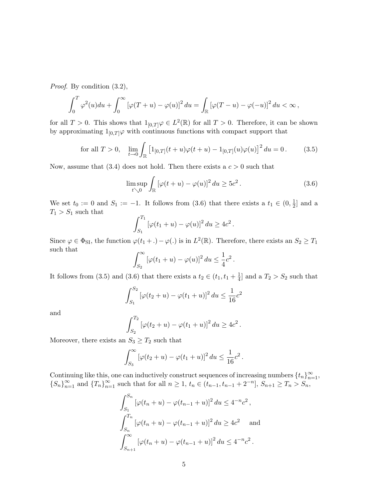Proof. By condition (3.2),

$$
\int_0^T \varphi^2(u) du + \int_0^\infty \left[\varphi(T+u) - \varphi(u)\right]^2 du = \int_{\mathbb{R}} \left[\varphi(T-u) - \varphi(-u)\right]^2 du < \infty,
$$

for all  $T > 0$ . This shows that  $1_{[0,T]} \varphi \in L^2(\mathbb{R})$  for all  $T > 0$ . Therefore, it can be shown by approximating  $1_{[0,T]}\varphi$  with continuous functions with compact support that

for all 
$$
T > 0
$$
,  $\lim_{t \to 0} \int_{\mathbb{R}} \left[ 1_{[0,T]}(t+u)\varphi(t+u) - 1_{[0,T]}(u)\varphi(u) \right]^2 du = 0.$  (3.5)

Now, assume that (3.4) does not hold. Then there exists a  $c > 0$  such that

$$
\limsup_{t \searrow 0} \int_{\mathbb{R}} \left[ \varphi(t+u) - \varphi(u) \right]^2 du \ge 5c^2.
$$
 (3.6)

We set  $t_0 := 0$  and  $S_1 := -1$ . It follows from  $(3.6)$  that there exists a  $t_1 \in (0, \frac{1}{2})$  $\frac{1}{2}$  and a  $T_1 > S_1$  such that  $\mathcal{L}^{T_1}$ 

$$
\int_{S_1}^{T_1} \left[ \varphi(t_1 + u) - \varphi(u) \right]^2 du \ge 4c^2.
$$

Since  $\varphi \in \Phi_{\text{SI}}$ , the function  $\varphi(t_1 + .) - \varphi(.)$  is in  $L^2(\mathbb{R})$ . Therefore, there exists an  $S_2 \ge T_1$ such that  $r^{\infty}$ 

$$
\int_{S_2}^{\infty} \left[\varphi(t_1+u) - \varphi(u)\right]^2 du \leq \frac{1}{4}c^2.
$$

It follows from (3.5) and (3.6) that there exists a  $t_2 \in (t_1, t_1 + \frac{1}{4})$  $\frac{1}{4}$  and a  $T_2 > S_2$  such that

$$
\int_{S_1}^{S_2} \left[ \varphi(t_2 + u) - \varphi(t_1 + u) \right]^2 du \le \frac{1}{16} c^2
$$

and

$$
\int_{S_2}^{T_2} \left[ \varphi(t_2 + u) - \varphi(t_1 + u) \right]^2 du \ge 4c^2.
$$

Moreover, there exists an  $S_3 \geq T_2$  such that

$$
\int_{S_3}^{\infty} \left[ \varphi(t_2 + u) - \varphi(t_1 + u) \right]^2 du \le \frac{1}{16} c^2.
$$

Continuing like this, one can inductively construct sequences of increasing numbers  $\{t_n\}_{n=1}^{\infty}$ ,  ${S_n}_{n=1}^{\infty}$  and  ${T_n}_{n=1}^{\infty}$  such that for all  $n \geq 1$ ,  $t_n \in (t_{n-1}, t_{n-1} + 2^{-n}]$ ,  $S_{n+1} \geq T_n > S_n$ ,

$$
\int_{S_1}^{S_n} \left[ \varphi(t_n + u) - \varphi(t_{n-1} + u) \right]^2 du \le 4^{-n} c^2,
$$
  

$$
\int_{S_n}^{T_n} \left[ \varphi(t_n + u) - \varphi(t_{n-1} + u) \right]^2 du \ge 4c^2 \text{ and}
$$
  

$$
\int_{S_{n+1}}^{\infty} \left[ \varphi(t_n + u) - \varphi(t_{n-1} + u) \right]^2 du \le 4^{-n} c^2.
$$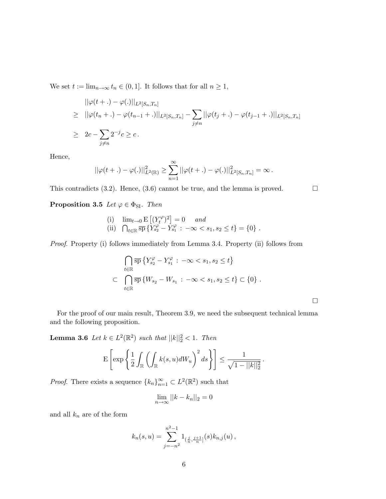We set  $t := \lim_{n \to \infty} t_n \in (0, 1]$ . It follows that for all  $n \geq 1$ ,

$$
\|\varphi(t+.) - \varphi(.)\|_{L^2[S_n, T_n]}
$$
  
\n
$$
\geq \|\varphi(t_n + .) - \varphi(t_{n-1} + .)\|_{L^2[S_n, T_n]} - \sum_{j \neq n} \|\varphi(t_j + .) - \varphi(t_{j-1} + .)\|_{L^2[S_n, T_n]}
$$
  
\n
$$
\geq 2c - \sum_{j \neq n} 2^{-j}c \geq c.
$$

Hence,

$$
||\varphi(t+.) - \varphi(.)||_{L^2(\mathbb{R})}^2 \geq \sum_{n=1}^{\infty} ||\varphi(t+.) - \varphi(.)||_{L^2[S_n, T_n]}^2 = \infty.
$$

This contradicts (3.2). Hence, (3.6) cannot be true, and the lemma is proved.  $\Box$ 

**Proposition 3.5** Let  $\varphi \in \Phi_{\text{SI}}$ . Then

(i) 
$$
\lim_{t \to 0} E[(Y_t^{\varphi})^2] = 0
$$
 and  
\n(ii)  $\bigcap_{t \in \mathbb{R}} \overline{sp} \{Y_{s_2}^{\varphi} - Y_{s_1}^{\varphi} : -\infty < s_1, s_2 \le t\} = \{0\}$ .

Proof. Property (i) follows immediately from Lemma 3.4. Property (ii) follows from

$$
\bigcap_{t \in \mathbb{R}} \overline{\mathrm{sp}} \left\{ Y_{s_2}^{\varphi} - Y_{s_1}^{\varphi} : -\infty < s_1, s_2 \le t \right\}
$$
\n
$$
\subset \bigcap_{t \in \mathbb{R}} \overline{\mathrm{sp}} \left\{ W_{s_2} - W_{s_1} : -\infty < s_1, s_2 \le t \right\} \subset \left\{ 0 \right\}.
$$

¤

For the proof of our main result, Theorem 3.9, we need the subsequent technical lemma and the following proposition.

**Lemma 3.6** Let  $k \in L^2(\mathbb{R}^2)$  such that  $||k||_2^2 < 1$ . Then

$$
\mathbf{E}\left[\exp\left\{\frac{1}{2}\int_{\mathbb{R}}\left(\int_{\mathbb{R}}k(s,u)dW_u\right)^2ds\right\}\right] \leq \frac{1}{\sqrt{1-||k||_2^2}}.
$$

*Proof.* There exists a sequence  $\{k_n\}_{n=1}^{\infty} \subset L^2(\mathbb{R}^2)$  such that

$$
\lim_{n \to \infty} ||k - k_n||_2 = 0
$$

and all  $k_n$  are of the form

$$
k_n(s, u) = \sum_{j=-n^2}^{n^2-1} 1_{(\frac{j}{n}, \frac{j+1}{n}]}(s) k_{n,j}(u) ,
$$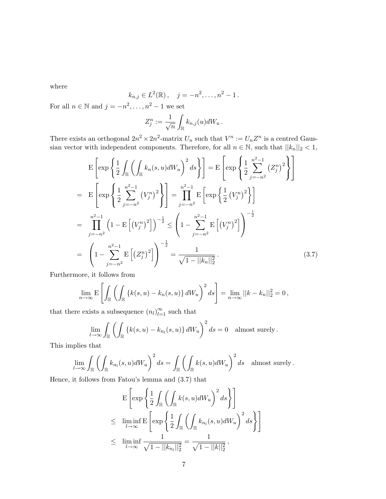where

$$
k_{n,j} \in L^2(\mathbb{R}), \quad j = -n^2, \dots, n^2 - 1.
$$

For all  $n \in \mathbb{N}$  and  $j = -n^2, \ldots, n^2 - 1$  we set

$$
Z_j^n := \frac{1}{\sqrt{n}} \int_{\mathbb{R}} k_{n,j}(u) dW_u.
$$

There exists an orthogonal  $2n^2 \times 2n^2$ -matrix  $U_n$  such that  $V^n := U_n Z^n$  is a centred Gaussian vector with independent components. Therefore, for all  $n \in \mathbb{N}$ , such that  $||k_n||_2 < 1$ ,

$$
E\left[\exp\left\{\frac{1}{2}\int_{\mathbb{R}}\left(\int_{\mathbb{R}}k_{n}(s,u)dW_{u}\right)^{2}ds\right\}\right]=E\left[\exp\left\{\frac{1}{2}\sum_{j=-n^{2}}^{n^{2}-1}\left(Z_{j}^{n}\right)^{2}\right\}\right]
$$
\n
$$
=E\left[\exp\left\{\frac{1}{2}\sum_{j=-n^{2}}^{n^{2}-1}\left(V_{j}^{n}\right)^{2}\right\}\right]=\prod_{j=-n^{2}}^{n^{2}-1}E\left[\exp\left\{\frac{1}{2}\left(V_{j}^{n}\right)^{2}\right\}\right]
$$
\n
$$
=\prod_{j=-n^{2}}^{n^{2}-1}\left(1-E\left[\left(V_{j}^{n}\right)^{2}\right]\right)^{-\frac{1}{2}}\leq\left(1-\sum_{j=-n^{2}}^{n^{2}-1}E\left[\left(V_{j}^{n}\right)^{2}\right]\right)^{-\frac{1}{2}}
$$
\n
$$
=\left(1-\sum_{j=-n^{2}}^{n^{2}-1}E\left[\left(Z_{j}^{n}\right)^{2}\right]\right)^{-\frac{1}{2}}=\frac{1}{\sqrt{1-||k_{n}||_{2}^{2}}}.
$$
\n(3.7)

Furthermore, it follows from

$$
\lim_{n \to \infty} \mathbf{E}\left[\int_{\mathbb{R}}\left(\int_{\mathbb{R}}\left\{k(s, u) - k_n(s, u)\right\}dW_u\right)^2 ds\right] = \lim_{n \to \infty}||k - k_n||_2^2 = 0,
$$

that there exists a subsequence  $(n_l)_{l=1}^{\infty}$  such that

$$
\lim_{l \to \infty} \int_{\mathbb{R}} \left( \int_{\mathbb{R}} \left\{ k(s, u) - k_{n_l}(s, u) \right\} dW_u \right)^2 ds = 0 \text{ almost surely.}
$$

This implies that

$$
\lim_{l \to \infty} \int_{\mathbb{R}} \left( \int_{\mathbb{R}} k_{n_l}(s, u) dW_u \right)^2 ds = \int_{\mathbb{R}} \left( \int_{\mathbb{R}} k(s, u) dW_u \right)^2 ds \text{ almost surely.}
$$

Hence, it follows from Fatou's lemma and (3.7) that

$$
\begin{aligned}\n& \mathbf{E}\left[\exp\left\{\frac{1}{2}\int_{\mathbb{R}}\left(\int_{\mathbb{R}}k(s,u)dW_u\right)^2ds\right\}\right] \\
&\leq \liminf_{l\to\infty}\mathbf{E}\left[\exp\left\{\frac{1}{2}\int_{\mathbb{R}}\left(\int_{\mathbb{R}}k_{n_l}(s,u)dW_u\right)^2ds\right\}\right] \\
&\leq \liminf_{l\to\infty}\frac{1}{\sqrt{1-||k_{n_l}||_2^2}} = \frac{1}{\sqrt{1-||k||_2^2}},\n\end{aligned}
$$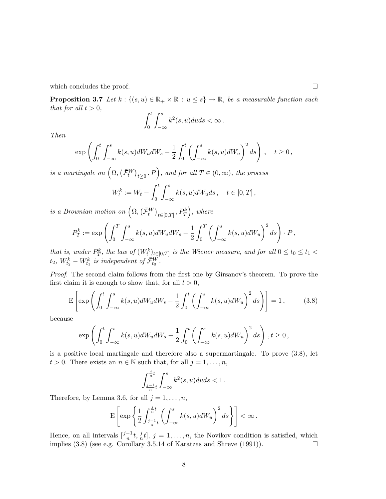which concludes the proof.  $\Box$ 

**Proposition 3.7** Let  $k : \{(s, u) \in \mathbb{R}_+ \times \mathbb{R} : u \leq s\} \to \mathbb{R}$ , be a measurable function such that for all  $t > 0$ ,  $rt$  $\overline{r}$ 

$$
\int_0^t \int_{-\infty}^s k^2(s, u) du ds < \infty.
$$

Then

$$
\exp\left(\int_0^t \int_{-\infty}^s k(s, u)dW_u dW_s - \frac{1}{2} \int_0^t \left(\int_{-\infty}^s k(s, u)dW_u\right)^2 ds\right), \quad t \ge 0,
$$

is a martingale on  $(\Omega, \mathbb{R})$  $(\bar{\mathcal{F}}^W_t$  $\left( \begin{matrix} t \geq 0 \end{matrix} \right)$ , and for all  $T \in (0, \infty)$ , the process

$$
W_t^k := W_t - \int_0^t \int_{-\infty}^s k(s, u) dW_u ds, \quad t \in [0, T],
$$

is a Brownian motion on  $(\Omega,$  $(\bar{\mathcal{F}}_t^W$  $t \in [0,T]$ ,  $P_T^k$ , where

$$
P_T^k := \exp\left(\int_0^T \int_{-\infty}^s k(s, u)dW_u dW_s - \frac{1}{2} \int_0^T \left(\int_{-\infty}^s k(s, u)dW_u\right)^2 ds\right) \cdot P,
$$

that is, under  $P_T^k$ , the law of  $(W_t^k)_{t \in [0,T]}$  is the Wiener measure, and for all  $0 \le t_0 \le t_1 <$  $t_2, W^k_{t_2} - W^k_{t_1}$  is independent of  $\bar{\mathcal{F}}^W_{t_0}$ .

Proof. The second claim follows from the first one by Girsanov's theorem. To prove the first claim it is enough to show that, for all  $t > 0$ ,

$$
E\left[\exp\left(\int_0^t \int_{-\infty}^s k(s, u)dW_u dW_s - \frac{1}{2} \int_0^t \left(\int_{-\infty}^s k(s, u)dW_u\right)^2 ds\right)\right] = 1, \quad (3.8)
$$

because

$$
\exp\left(\int_0^t \int_{-\infty}^s k(s,u)dW_u dW_s - \frac{1}{2} \int_0^t \left(\int_{-\infty}^s k(s,u)dW_u\right)^2 ds\right), t \ge 0,
$$

is a positive local martingale and therefore also a supermartingale. To prove (3.8), let  $t > 0$ . There exists an  $n \in \mathbb{N}$  such that, for all  $j = 1, \ldots, n$ ,

$$
\int_{\frac{j-1}{n}t}^{\frac{j}{n}t}\int_{-\infty}^s k^2(s,u)duds<1\,.
$$

Therefore, by Lemma 3.6, for all  $j = 1, \ldots, n$ ,

$$
\mathbf{E}\left[\exp\left\{\frac{1}{2}\int_{\frac{j-1}{n}t}^{\frac{j}{n}t}\left(\int_{-\infty}^sk(s,u)dW_u\right)^2ds\right\}\right]<\infty\,.
$$

Hence, on all intervals  $\left[\frac{j-1}{n}t, \frac{j}{n}t\right], j = 1, \ldots, n$ , the Novikov condition is satisfied, which implies  $(3.8)$  (see e.g. Corollary 3.5.14 of Karatzas and Shreve  $(1991)$ ).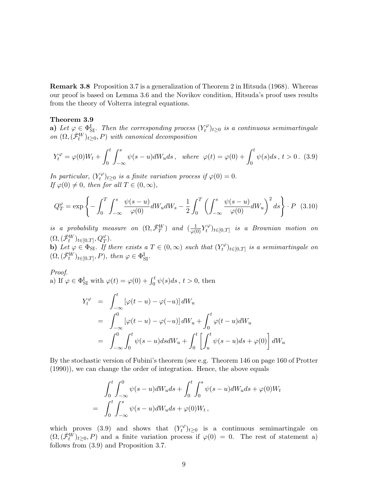Remark 3.8 Proposition 3.7 is a generalization of Theorem 2 in Hitsuda (1968). Whereas our proof is based on Lemma 3.6 and the Novikov condition, Hitsuda's proof uses results from the theory of Volterra integral equations.

#### Theorem 3.9

a) Let  $\varphi \in \Phi_{\text{SI}}^{\text{I}}$ . Then the corresponding process  $(Y_t^{\varphi})$  $\tilde{t}^{\varphi}_t)_{t\geq 0}$  is a continuous semimartingale on  $(\Omega, (\bar{\mathcal{F}}_t^W)_{t \geq 0}, P)$  with canonical decomposition

$$
Y_t^{\varphi} = \varphi(0)W_t + \int_0^t \int_{-\infty}^s \psi(s-u)dW_u ds \, , \text{ where } \varphi(t) = \varphi(0) + \int_0^t \psi(s)ds \, , \, t > 0. \tag{3.9}
$$

In particular,  $(Y_t^{\varphi})$  $(t^{\varphi})_{t\geq 0}$  is a finite variation process if  $\varphi(0)=0$ . If  $\varphi(0) \neq 0$ , then for all  $T \in (0, \infty)$ ,

$$
Q_T^{\varphi} = \exp\left\{-\int_0^T \int_{-\infty}^s \frac{\psi(s-u)}{\varphi(0)} dW_u dW_s - \frac{1}{2} \int_0^T \left(\int_{-\infty}^s \frac{\psi(s-u)}{\varphi(0)} dW_u\right)^2 ds\right\} \cdot P \quad (3.10)
$$

is a probability measure on  $(\Omega, \bar{\mathcal{F}}_T^W)$  and  $(\frac{1}{\varphi(0)}Y_t^{\varphi})$  $\tilde{t}^{\varphi}_t)_{t\in[0,T]}$  is a Brownian motion on  $(\Omega, (\bar{\mathcal{F}}_t^W)_{t\in[0,T]}, Q_T^{\varphi}).$ b) Let  $\varphi \in \Phi_{\text{SI}}$ . If there exists a  $T \in (0, \infty)$  such that  $(Y_t^{\varphi})$  $\tilde{t}^{\varphi}_t)_{t\in[0,T]}$  is a semimartingale on  $(\Omega, (\bar{\mathcal{F}}_t^W)_{t \in [0,T]}, P)$ , then  $\varphi \in \Phi_{\mathrm{SI}}^{\mathrm{I}}$ .

Proof. *Proof.*<br>
a) If  $\varphi \in \Phi_{SI}^{\text{I}}$  with  $\varphi(t) = \varphi(0) + \int_0^t \psi(s)ds$ ,  $t > 0$ , then

$$
Y_t^{\varphi} = \int_{-\infty}^t \left[ \varphi(t - u) - \varphi(-u) \right] dW_u
$$
  
= 
$$
\int_{-\infty}^0 \left[ \varphi(t - u) - \varphi(-u) \right] dW_u + \int_0^t \varphi(t - u) dW_u
$$
  
= 
$$
\int_{-\infty}^0 \int_0^t \psi(s - u) ds dW_u + \int_0^t \left[ \int_u^t \psi(s - u) ds + \varphi(0) \right] dW_u
$$

By the stochastic version of Fubini's theorem (see e.g. Theorem 146 on page 160 of Protter (1990)), we can change the order of integration. Hence, the above equals

$$
\int_0^t \int_{-\infty}^0 \psi(s-u)dW_u ds + \int_0^t \int_0^s \psi(s-u)dW_u ds + \varphi(0)W_t
$$
  
= 
$$
\int_0^t \int_{-\infty}^s \psi(s-u)dW_u ds + \varphi(0)W_t,
$$

which proves (3.9) and shows that  $(Y_t^{\varphi})$  $(t^{\varphi})_{t\geq 0}$  is a continuous semimartingale on  $(\Omega, (\bar{\mathcal{F}}_t^W)_{t\geq 0}, P)$  and a finite variation process if  $\varphi(0) = 0$ . The rest of statement a) follows from (3.9) and Proposition 3.7.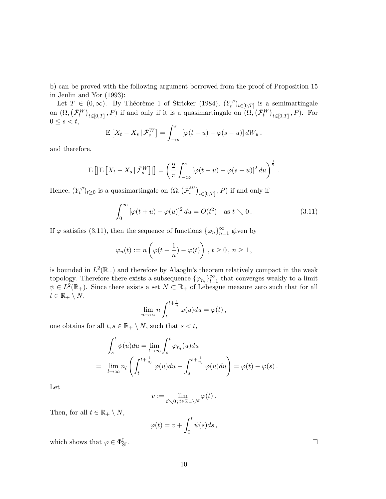b) can be proved with the following argument borrowed from the proof of Proposition 15 in Jeulin and Yor (1993):

Let  $T \in (0,\infty)$ . By Théorème 1 of Stricker (1984),  $(Y_t^{\varphi})$  $\tilde{t}^{\varphi}_{t}(t)_{t\in[0,T]}$  is a semimartingale on  $(\Omega,$  $\begin{array}{c} \mathcal{I} \in \ \bar{\mathcal{F}}_t^W \end{array}$  $\frac{1}{2}$  $t \in [0,T]$ , P) if and only if it is a quasimartingale on  $(\Omega, \mathcal{L})$  $\overline{\mathcal{F}}_t^W$ ¢  $_{t\in[0,T]}$ , P). For  $0 \leq s < t$ ,  $\overline{z}$   $\overline{z}$   $\overline{z}$   $\overline{w}$   $\overline{z}$   $\overline{w}$   $\overline{z}$ 

$$
\mathbb{E}\left[X_t - X_s | \bar{\mathcal{F}}_s^W\right] = \int_{-\infty}^s \left[\varphi(t-u) - \varphi(s-u)\right] dW_u,
$$

and therefore,

$$
\mathbf{E}\left[\left|\mathbf{E}\left[X_t-X_s\,|\,\bar{\mathcal{F}}_s^W\right]\right|\right] = \left(\frac{2}{\pi}\int_{-\infty}^s \left[\varphi(t-u)-\varphi(s-u)\right]^2 du\right)^{\frac{1}{2}}.
$$

Hence,  $(Y_t^{\varphi})$  $\mathcal{H}^{\varphi}_t)_{t\geq 0}$  is a quasimartingale on  $(\Omega, \mathcal{L})$  $(\bar{\mathcal{F}}^W_t$ ¢  $_{t\in[0,T]}$ , P) if and only if

$$
\int_0^\infty \left[\varphi(t+u) - \varphi(u)\right]^2 du = O(t^2) \quad \text{as } t \searrow 0. \tag{3.11}
$$

If  $\varphi$  satisfies (3.11), then the sequence of functions  $\{\varphi_n\}_{n=1}^{\infty}$  given by

$$
\varphi_n(t) := n\left(\varphi(t+\frac{1}{n}) - \varphi(t)\right), \ t \ge 0, \ n \ge 1,
$$

is bounded in  $L^2(\mathbb{R}_+)$  and therefore by Alaoglu's theorem relatively compact in the weak topology. Therefore there exists a subsequence  $\{\varphi_{n_l}\}_{l=1}^{\infty}$  that converges weakly to a limit  $\psi \in L^2(\mathbb{R}_+).$  Since there exists a set  $N \subset \mathbb{R}_+$  of Lebesgue measure zero such that for all  $t \in \mathbb{R}_+ \setminus N$ ,

$$
\lim_{n \to \infty} n \int_{t}^{t + \frac{1}{n}} \varphi(u) du = \varphi(t),
$$

one obtains for all  $t, s \in \mathbb{R}_+ \setminus N$ , such that  $s < t$ ,

$$
\int_{s}^{t} \psi(u) du = \lim_{l \to \infty} \int_{s}^{t} \varphi_{n_l}(u) du
$$
  
= 
$$
\lim_{l \to \infty} n_l \left( \int_{t}^{t + \frac{1}{n_l}} \varphi(u) du - \int_{s}^{s + \frac{1}{n_l}} \varphi(u) du \right) = \varphi(t) - \varphi(s).
$$

Let

$$
v:=\lim_{t\searrow 0\,;\,t\in\mathbb{R}_+\setminus N}\varphi(t)\,.
$$

Then, for all  $t \in \mathbb{R}_+ \setminus N$ ,

$$
\varphi(t) = v + \int_0^t \psi(s)ds,
$$

which shows that  $\varphi \in \Phi_{\mathcal{S}}^{\mathcal{I}}$  $\Box$ <br>SI.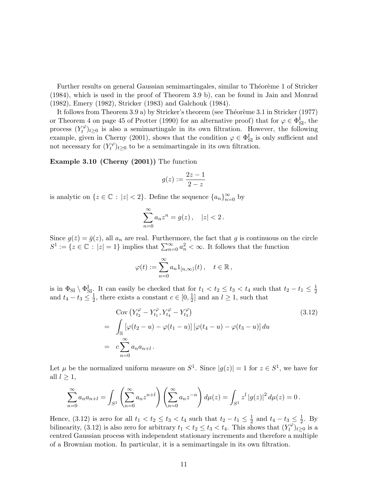Further results on general Gaussian semimartingales, similar to Théorème 1 of Stricker (1984), which is used in the proof of Theorem 3.9 b), can be found in Jain and Monrad (1982), Emery (1982), Stricker (1983) and Galchouk (1984).

It follows from Theorem 3.9 a) by Stricker's theorem (see Théorème 3.1 in Stricker (1977) or Theorem 4 on page 45 of Protter (1990) for an alternative proof) that for  $\varphi \in \Phi_{\text{SI}}^{\text{I}}$ , the process  $(Y_t^{\varphi})$  $(t^{\varphi})_{t\geq 0}$  is also a semimartingale in its own filtration. However, the following example, given in Cherny (2001), shows that the condition  $\varphi \in \Phi_{\text{SI}}^{\text{I}}$  is only sufficient and not necessary for  $(Y_t^{\varphi})$  $(t^{\varphi})_{t\geq 0}$  to be a semimartingale in its own filtration.

Example 3.10 (Cherny (2001)) The function

$$
g(z) := \frac{2z - 1}{2 - z}
$$

is analytic on  $\{z \in \mathbb{C} : |z| < 2\}$ . Define the sequence  $\{a_n\}_{n=0}^{\infty}$  by

$$
\sum_{n=0}^{\infty} a_n z^n = g(z), \quad |z| < 2.
$$

Since  $g(\bar{z}) = \bar{g}(z)$ , all  $a_n$  are real. Furthermore, the fact that g is continuous on the circle Since  $g(z) = g(z)$ , an  $a_n$  are real. Furthermore, the ract that y is continuous on  $S^1 := \{z \in \mathbb{C} : |z| = 1\}$  implies that  $\sum_{n=0}^{\infty} a_n^2 < \infty$ . It follows that the function

$$
\varphi(t) := \sum_{n=0}^{\infty} a_n 1_{[n,\infty)}(t), \quad t \in \mathbb{R},
$$

is in  $\Phi_{SI} \setminus \Phi_{SI}^I$ . It can easily be checked that for  $t_1 < t_2 \leq t_3 < t_4$  such that  $t_2 - t_1 \leq \frac{1}{2}$  $\overline{2}$ and  $t_4 - t_3 \leq \frac{1}{2}$  $\frac{1}{2}$ , there exists a constant  $c \in [0, \frac{1}{2}]$  $\frac{1}{2}$  and an  $l \geq 1$ , such that

$$
\begin{aligned}\n\text{Cov} \left( Y_{t_2}^{\varphi} - Y_{t_1}^{\varphi}, Y_{t_4}^{\varphi} - Y_{t_3}^{\varphi} \right) & \quad (3.12) \\
&= \int_{\mathbb{R}} \left[ \varphi(t_2 - u) - \varphi(t_1 - u) \right] \left[ \varphi(t_4 - u) - \varphi(t_3 - u) \right] du \\
&= c \sum_{n=0}^{\infty} a_n a_{n+l} .\n\end{aligned}
$$

Let  $\mu$  be the normalized uniform measure on  $S^1$ . Since  $|g(z)| = 1$  for  $z \in S^1$ , we have for all  $l \geq 1$ ,

$$
\sum_{n=0}^{\infty} a_n a_{n+l} = \int_{S^1} \left( \sum_{n=0}^{\infty} a_n z^{n+l} \right) \left( \sum_{n=0}^{\infty} a_n z^{-n} \right) d\mu(z) = \int_{S^1} z^l |g(z)|^2 d\mu(z) = 0.
$$

Hence, (3.12) is zero for all  $t_1 < t_2 \leq t_3 < t_4$  such that  $t_2 - t_1 \leq \frac{1}{2}$  $\frac{1}{2}$  and  $t_4 - t_3 \leq \frac{1}{2}$  $\frac{1}{2}$ . By bilinearity, (3.12) is also zero for arbitrary  $t_1 < t_2 \leq t_3 < t_4$ . This shows that  $(Y_t^{\varphi})$  $(t^{\varphi}_t)_{t\geq 0}$  is a centred Gaussian process with independent stationary increments and therefore a multiple of a Brownian motion. In particular, it is a semimartingale in its own filtration.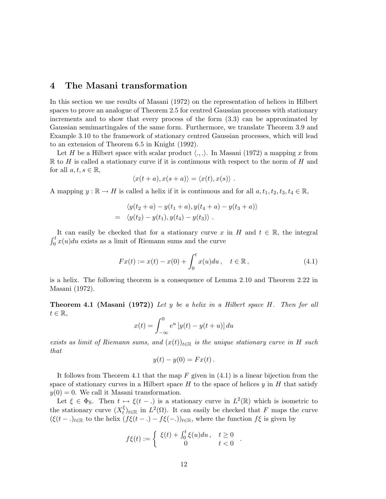# 4 The Masani transformation

In this section we use results of Masani (1972) on the representation of helices in Hilbert spaces to prove an analogue of Theorem 2.5 for centred Gaussian processes with stationary increments and to show that every process of the form (3.3) can be approximated by Gaussian semimartingales of the same form. Furthermore, we translate Theorem 3.9 and Example 3.10 to the framework of stationary centred Gaussian processes, which will lead to an extension of Theorem 6.5 in Knight (1992).

Let H be a Hilbert space with scalar product  $\langle ., . \rangle$ . In Masani (1972) a mapping x from  $\mathbb R$  to H is called a stationary curve if it is continuous with respect to the norm of H and for all  $a, t, s \in \mathbb{R}$ ,

$$
\langle x(t+a), x(s+a) \rangle = \langle x(t), x(s) \rangle.
$$

A mapping  $y : \mathbb{R} \to H$  is called a helix if it is continuous and for all  $a, t_1, t_2, t_3, t_4 \in \mathbb{R}$ ,

$$
\langle y(t_2+a)-y(t_1+a), y(t_4+a)-y(t_3+a) \rangle = \langle y(t_2)-y(t_1), y(t_4)-y(t_3) \rangle .
$$

It can easily be checked that for a stationary curve x in H and  $t \in \mathbb{R}$ , the integral  $rt$  $\int_0^t x(u) du$  exists as a limit of Riemann sums and the curve

$$
Fx(t) := x(t) - x(0) + \int_0^t x(u) du, \quad t \in \mathbb{R},
$$
\n(4.1)

is a helix. The following theorem is a consequence of Lemma 2.10 and Theorem 2.22 in Masani (1972).

**Theorem 4.1 (Masani (1972))** Let  $y$  be a helix in a Hilbert space  $H$ . Then for all  $t \in \mathbb{R}$ ,

$$
x(t) = \int_{-\infty}^{0} e^u \left[ y(t) - y(t+u) \right] du
$$

exists as limit of Riemann sums, and  $(x(t))_{t\in\mathbb{R}}$  is the unique stationary curve in H such that

$$
y(t) - y(0) = Fx(t).
$$

It follows from Theorem 4.1 that the map  $F$  given in  $(4.1)$  is a linear bijection from the space of stationary curves in a Hilbert space  $H$  to the space of helices  $y$  in  $H$  that satisfy  $y(0) = 0$ . We call it Masani transformation.

Let  $\xi \in \Phi_S$ . Then  $t \mapsto \xi(t - \mu)$  is a stationary curve in  $L^2(\mathbb{R})$  which is isometric to the stationary curve  $(X_t^{\xi})$  $t<sub>t</sub><sup>ξ</sup>$  in  $L<sup>2</sup>(Ω)$ . It can easily be checked that F maps the curve  $(\xi(t - \cdot))_{t \in \mathbb{R}}$  to the helix  $(f\xi(t - \cdot) - f\xi(-\cdot))_{t \in \mathbb{R}}$ , where the function  $f\xi$  is given by

$$
f\xi(t) := \begin{cases} \xi(t) + \int_0^t \xi(u) du, & t \ge 0 \\ 0 & t < 0 \end{cases}.
$$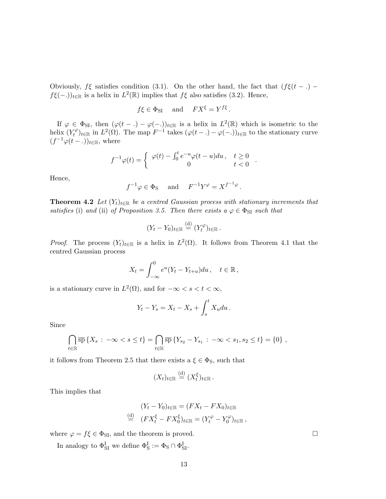Obviously,  $f\xi$  satisfies condition (3.1). On the other hand, the fact that  $(f\xi(t - .)$  $f\xi(-.)_{t\in\mathbb{R}}$  is a helix in  $L^2(\mathbb{R})$  implies that  $f\xi$  also satisfies (3.2). Hence,

$$
f\xi \in \Phi_{SI}
$$
 and  $FX^{\xi} = Y^{f\xi}$ .

If  $\varphi \in \Phi_{\text{SI}}$ , then  $(\varphi(t-.) - \varphi(-.))_{t \in \mathbb{R}}$  is a helix in  $L^2(\mathbb{R})$  which is isometric to the helix  $(Y_t^{\varphi})$  $\mathcal{L}^{\varphi}_{t}$  in  $L^{2}(\Omega)$ . The map  $F^{-1}$  takes  $(\varphi(t-.)-\varphi(-.))_{t\in\mathbb{R}}$  to the stationary curve  $(f^{-1}\varphi(t-))_{t\in\mathbb{R}}$ , where

$$
f^{-1}\varphi(t) = \begin{cases} \varphi(t) - \int_0^t e^{-u}\varphi(t-u)du, & t \ge 0 \\ 0 & t < 0 \end{cases}.
$$

Hence,

$$
f^{-1}\varphi \in \Phi_S
$$
 and  $F^{-1}Y^{\varphi} = X^{f^{-1}\varphi}$ .

**Theorem 4.2** Let  $(Y_t)_{t\in\mathbb{R}}$  be a centred Gaussian process with stationary increments that satisfies (i) and (ii) of Proposition 3.5. Then there exists  $a \varphi \in \Phi_{\text{SI}}$  such that

$$
(Y_t - Y_0)_{t \in \mathbb{R}} \stackrel{\text{(d)}}{=} (Y_t^{\varphi})_{t \in \mathbb{R}}.
$$

*Proof.* The process  $(Y_t)_{t \in \mathbb{R}}$  is a helix in  $L^2(\Omega)$ . It follows from Theorem 4.1 that the centred Gaussian process

$$
X_t = \int_{-\infty}^0 e^u (Y_t - Y_{t+u}) du, \quad t \in \mathbb{R},
$$

is a stationary curve in  $L^2(\Omega)$ , and for  $-\infty < s < t < \infty$ ,

$$
Y_t - Y_s = X_t - X_s + \int_s^t X_u du.
$$

Since

$$
\bigcap_{t \in \mathbb{R}} \overline{\rm sp} \left\{ X_s : -\infty < s \leq t \right\} = \bigcap_{t \in \mathbb{R}} \overline{\rm sp} \left\{ Y_{s_2} - Y_{s_1} : -\infty < s_1, s_2 \leq t \right\} = \{0\} \ ,
$$

it follows from Theorem 2.5 that there exists a  $\xi \in \Phi_S$ , such that

$$
(X_t)_{t\in\mathbb{R}}\stackrel{\text{(d)}}{=} (X_t^{\xi})_{t\in\mathbb{R}}.
$$

This implies that

$$
(Y_t - Y_0)_{t \in \mathbb{R}} = (FX_t - FX_0)_{t \in \mathbb{R}}
$$
  
\n
$$
\stackrel{\text{(d)}}{=} (FX_t^{\xi} - FX_0^{\xi})_{t \in \mathbb{R}} = (Y_t^{\varphi} - Y_0^{\varphi})_{t \in \mathbb{R}},
$$

where  $\varphi = f\xi \in \Phi_{\text{SI}}$ , and the theorem is proved.  $\Box$ 

In analogy to  $\Phi_{\text{SI}}^{\text{I}}$  we define  $\Phi_{\text{S}}^{\text{I}} := \Phi_{\text{S}} \cap \Phi_{\text{SI}}^{\text{I}}$ .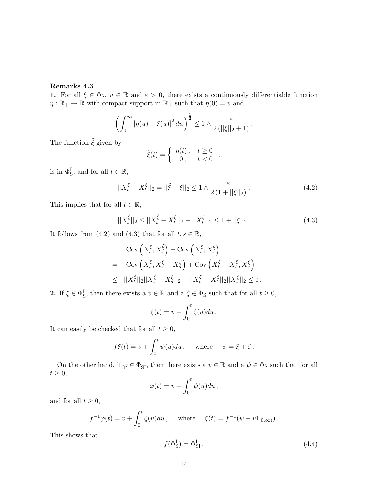## Remarks 4.3

1. For all  $\xi \in \Phi_S$ ,  $v \in \mathbb{R}$  and  $\varepsilon > 0$ , there exists a continuously differentiable function  $\eta: \mathbb{R}_+ \to \mathbb{R}$  with compact support in  $\mathbb{R}_+$  such that  $\eta(0) = v$  and

$$
\left(\int_0^\infty \left[\eta(u) - \xi(u)\right]^2 du\right)^{\frac{1}{2}} \leq 1 \wedge \frac{\varepsilon}{2\left(||\xi||_2 + 1\right)}.
$$

The function  $\tilde{\xi}$  given by

$$
\tilde{\xi}(t) = \begin{cases} \eta(t), & t \ge 0 \\ 0, & t < 0 \end{cases},
$$

is in  $\Phi_{\rm S}^{\rm I}$ , and for all  $t \in \mathbb{R}$ ,

$$
||X_t^{\tilde{\xi}} - X_t^{\xi}||_2 = ||\tilde{\xi} - \xi||_2 \le 1 \wedge \frac{\varepsilon}{2(1 + ||\xi||_2)}.
$$
\n(4.2)

This implies that for all  $t \in \mathbb{R}$ ,

$$
||X_t^{\tilde{\xi}}||_2 \le ||X_t^{\tilde{\xi}} - X_t^{\xi}||_2 + ||X_t^{\xi}||_2 \le 1 + ||\xi||_2. \tag{4.3}
$$

It follows from (4.2) and (4.3) that for all  $t, s \in \mathbb{R}$ ,

$$
\begin{aligned}\n&\left|\text{Cov}\left(X_t^{\tilde{\xi}}, X_s^{\tilde{\xi}}\right) - \text{Cov}\left(X_t^{\xi}, X_s^{\xi}\right)\right| \\
&= \left|\text{Cov}\left(X_t^{\tilde{\xi}}, X_s^{\tilde{\xi}} - X_s^{\xi}\right) + \text{Cov}\left(X_t^{\tilde{\xi}} - X_t^{\xi}, X_s^{\xi}\right)\right| \\
&\leq ||X_t^{\tilde{\xi}}||_2||X_s^{\tilde{\xi}} - X_s^{\xi}||_2 + ||X_t^{\tilde{\xi}} - X_t^{\xi}||_2||X_s^{\xi}||_2 \leq \varepsilon.\n\end{aligned}
$$

**2.** If  $\xi \in \Phi_S^I$ , then there exists a  $v \in \mathbb{R}$  and a  $\zeta \in \Phi_S$  such that for all  $t \geq 0$ ,

$$
\xi(t) = v + \int_0^t \zeta(u) du.
$$

It can easily be checked that for all  $t \geq 0$ ,

$$
f\xi(t) = v + \int_0^t \psi(u) du
$$
, where  $\psi = \xi + \zeta$ .

On the other hand, if  $\varphi \in \Phi_{\text{SI}}^{\text{I}}$ , then there exists a  $v \in \mathbb{R}$  and a  $\psi \in \Phi_{\text{S}}$  such that for all  $t \geq 0$ ,  $rt$ 

$$
\varphi(t) = v + \int_0^t \psi(u) du,
$$

and for all  $t \geq 0$ ,

$$
f^{-1}\varphi(t) = v + \int_0^t \zeta(u)du
$$
, where  $\zeta(t) = f^{-1}(\psi - v1_{[0,\infty)})$ .

This shows that

$$
f(\Phi_{\rm S}^{\rm I}) = \Phi_{\rm SI}^{\rm I} \,. \tag{4.4}
$$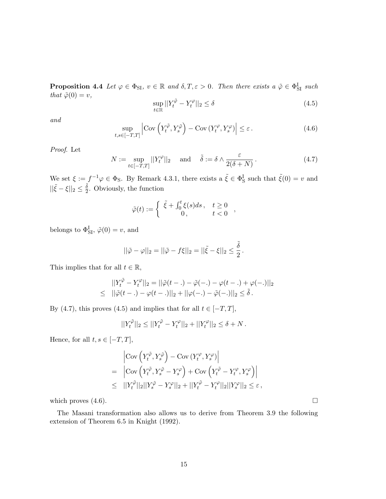**Proposition 4.4** Let  $\varphi \in \Phi_{\text{SI}}$ ,  $v \in \mathbb{R}$  and  $\delta, T, \varepsilon > 0$ . Then there exists a  $\tilde{\varphi} \in \Phi_{\text{SI}}^{\text{I}}$  such that  $\tilde{\varphi}(0) = v$ ,

$$
\sup_{t \in \mathbb{R}} ||Y_t^{\tilde{\varphi}} - Y_t^{\varphi}||_2 \le \delta \tag{4.5}
$$

and

$$
\sup_{t,s\in[-T,T]} \left| \text{Cov}\left(Y_t^{\tilde{\varphi}}, Y_s^{\tilde{\varphi}}\right) - \text{Cov}\left(Y_t^{\varphi}, Y_s^{\varphi}\right) \right| \le \varepsilon. \tag{4.6}
$$

Proof. Let

$$
N := \sup_{t \in [-T,T]} ||Y_t^{\varphi}||_2 \quad \text{and} \quad \tilde{\delta} := \delta \wedge \frac{\varepsilon}{2(\delta + N)}.
$$
 (4.7)

We set  $\xi := f^{-1}\varphi \in \Phi_S$ . By Remark 4.3.1, there exists a  $\tilde{\xi} \in \Phi_S^I$  such that  $\tilde{\xi}(0) = v$  and  $||\tilde{\xi} - \xi||_2 \leq \frac{\tilde{\delta}}{2}$  $\frac{\delta}{2}$ . Obviously, the function

$$
\tilde{\varphi}(t) := \begin{cases} \ \tilde{\xi} + \int_0^t \xi(s)ds \,, & t \ge 0 \\ 0 \,, & t < 0 \end{cases} ,
$$

belongs to  $\Phi_{\text{SI}}^{\text{I}}, \tilde{\varphi}(0) = v$ , and

$$
||\tilde{\varphi} - \varphi||_2 = ||\tilde{\varphi} - f\xi||_2 = ||\tilde{\xi} - \xi||_2 \le \frac{\tilde{\delta}}{2}.
$$

This implies that for all  $t \in \mathbb{R}$ ,

$$
||Y_t^{\tilde{\varphi}} - Y_t^{\varphi}||_2 = ||\tilde{\varphi}(t - .) - \tilde{\varphi}(-.) - \varphi(t - .) + \varphi(-.)||_2
$$
  
\n
$$
\leq ||\tilde{\varphi}(t - .) - \varphi(t - .)||_2 + ||\varphi(-.) - \tilde{\varphi}(-.)||_2 \leq \tilde{\delta}.
$$

By (4.7), this proves (4.5) and implies that for all  $t \in [-T, T]$ ,

$$
||Y_t^{\tilde{\varphi}}||_2 \le ||Y_t^{\tilde{\varphi}} - Y_t^{\varphi}||_2 + ||Y_t^{\varphi}||_2 \le \delta + N.
$$

Hence, for all  $t, s \in [-T, T],$ 

$$
\begin{split} & \left| \text{Cov} \left( Y_t^{\tilde{\varphi}}, Y_s^{\tilde{\varphi}} \right) - \text{Cov} \left( Y_t^{\varphi}, Y_s^{\varphi} \right) \right| \\ & = \left| \text{Cov} \left( Y_t^{\tilde{\varphi}}, Y_s^{\tilde{\varphi}} - Y_s^{\varphi} \right) + \text{Cov} \left( Y_t^{\tilde{\varphi}} - Y_t^{\varphi}, Y_s^{\varphi} \right) \right| \\ & \leq \ \ ||Y_t^{\tilde{\varphi}}||_2 ||Y_s^{\tilde{\varphi}} - Y_s^{\varphi}||_2 + ||Y_t^{\tilde{\varphi}} - Y_t^{\varphi}||_2 ||Y_s^{\varphi}||_2 \leq \varepsilon \,, \end{split}
$$

which proves  $(4.6)$ .

The Masani transformation also allows us to derive from Theorem 3.9 the following extension of Theorem 6.5 in Knight (1992).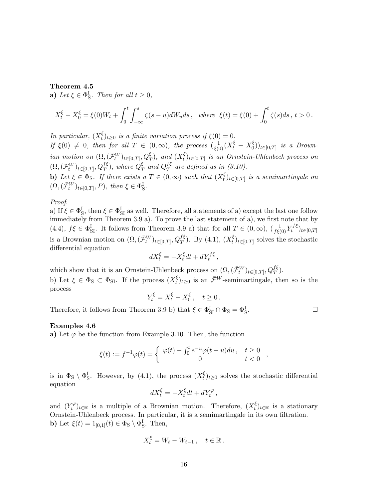## Theorem 4.5

**a**) Let  $\xi \in \Phi_S^I$ . Then for all  $t \geq 0$ ,

$$
X_t^{\xi} - X_0^{\xi} = \xi(0)W_t + \int_0^t \int_{-\infty}^s \zeta(s-u)dW_u ds \,, \text{ where } \xi(t) = \xi(0) + \int_0^t \zeta(s)ds \,, t > 0 \,.
$$

In particular,  $(X_t^{\xi})$  $t<sup>ξ</sup>$ <sub>t</sub>)<sub>t</sub>  $\geq$ <sub>0</sub> is a finite variation process if  $\xi$ (0) = 0. If  $\xi(0) \neq 0$ , then for all  $T \in (0, \infty)$ , the process  $\left(\frac{1}{\xi(0)}(X_t^{\xi} - X_0^{\xi})\right)$  $\binom{5}{0}$ <sub>t∈[0,T]</sub> is a Brownian motion on  $(\Omega, (\bar{\mathcal{F}}_t^W)_{t \in [0,T]}, Q_T^{\xi})$ , and  $(X_t^{\xi})$  $\mathcal{L}_{t}^{k}$ <sub>t</sub> $\in$ <sub>[0,T]</sub> is an Ornstein-Uhlenbeck process on  $(\Omega, (\bar{\mathcal{F}}_t^W)_{t \in [0,T]}, Q_T^{f \xi}),$  where  $Q_T^{\xi}$  $_{T}^{\xi}$  and  $Q_{T}^{f\xi}$  $I_T^{\xi}$  are defined as in (3.10). b) Let  $\xi \in \Phi_S$ . If there exists a  $T \in (0, \infty)$  such that  $(X_t^{\xi})$  $\mathcal{E}_t^{\xi})_{t\in[0,T]}$  is a semimartingale on  $(\Omega, (\bar{\mathcal{F}}_t^W)_{t \in [0,T]}, P)$ , then  $\xi \in \Phi_S^{\mathrm{I}}$ .

#### Proof.

a) If  $\xi \in \Phi_S^I$ , then  $\xi \in \Phi_{SI}^I$  as well. Therefore, all statements of a) except the last one follow immediately from Theorem 3.9 a). To prove the last statement of a), we first note that by (4.4),  $f\xi \in \Phi_{\text{SI}}^{\text{I}}$ . It follows from Theorem 3.9 a) that for all  $T \in (0,\infty)$ ,  $\left(\frac{1}{f\xi(0)}Y_t^{f\xi}\right)$  $(t^{J\xi})_{t\in[0,T]}$ is a Brownian motion on  $(\Omega, (\bar{\mathcal{F}}_t^W)_{t \in [0,T]}, Q_T^{f\xi})$ . By (4.1),  $(X_t^{\xi})$  $_{t}^{\xi}$ <sub>t</sub><sub> $(t_{\epsilon}[0,T]$ </sub> solves the stochastic differential equation

$$
dX_t^{\xi} = -X_t^{\xi}dt + dY_t^{f\xi},
$$

which show that it is an Ornstein-Uhlenbeck process on  $(\Omega, (\bar{\mathcal{F}}_t^W)_{t \in [0,T]}, Q_T^{f \xi})$ .

b) Let  $\xi \in \Phi_{S} \subset \Phi_{SI}$ . If the process  $(X_t^{\xi})$  $\bar{t}$ <sub>t</sub> $(t)$ <sub>t</sub> $\geq 0$  is an  $\bar{\mathcal{F}}^W$ -semimartingale, then so is the process

$$
Y_t^{\xi} = X_t^{\xi} - X_0^{\xi}, \quad t \ge 0.
$$

Therefore, it follows from Theorem 3.9 b) that  $\xi \in \Phi_{\mathrm{SI}}^{\mathrm{I}} \cap \Phi_{\mathrm{S}} = \Phi_{\mathrm{S}}^{\mathrm{I}}$ .  $\Box$ 

## Examples 4.6

a) Let  $\varphi$  be the function from Example 3.10. Then, the function

$$
\xi(t) := f^{-1}\varphi(t) = \begin{cases} \varphi(t) - \int_0^t e^{-u}\varphi(t-u)du, & t \ge 0 \\ 0 & t < 0 \end{cases}
$$

is in  $\Phi_{\rm S} \setminus \Phi_{\rm S}^{\rm I}$ . However, by (4.1), the process  $(X_t^{\xi})$  $\zeta(t)_{t\geq0}$  solves the stochastic differential equation

$$
dX_t^{\xi} = -X_t^{\xi}dt + dY_t^{\varphi},
$$

and  $(Y_t^{\varphi})$  $(t<sup>c</sup>)$ <sub>t</sub>∈<sub>R</sub> is a multiple of a Brownian motion. Therefore,  $(X<sup>ξ</sup>)$ <sub>t</sub>  $\zeta_t^{\xi}$ ) $t \in \mathbb{R}$  is a stationary Ornstein-Uhlenbeck process. In particular, it is a semimartingale in its own filtration. **b**) Let  $\xi(t) = 1_{[0,1]}(t) \in \Phi_S \setminus \Phi_S^{\text{I}}$ . Then,

$$
X_t^{\xi} = W_t - W_{t-1}, \quad t \in \mathbb{R}.
$$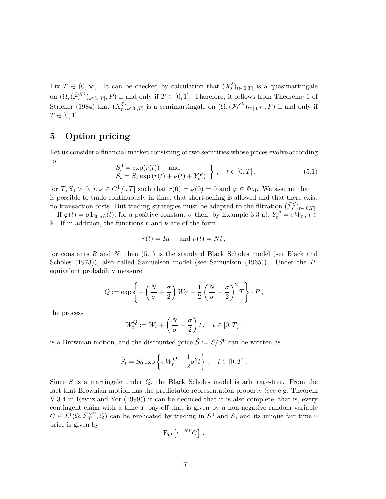Fix  $T \in (0,\infty)$ . It can be checked by calculation that  $(X_t^{\xi})$  $\zeta_t^{\xi}$ <sub>t</sub><sub> $(t \in [0,T]$ </sub> is a quasimartingale on  $(\Omega, (\bar{\mathcal{F}}_t^{X^{\xi}})_{t\in[0,T]}, P)$  if and only if  $T \in [0,1]$ . Therefore, it follows from Théorème 1 of Stricker (1984) that  $(X_t^{\xi})$  $\{t\}_{t\in[0,T]}$  is a semimartingale on  $(\Omega,(\bar{\mathcal{F}}_t^{X^{\xi}})_{t\in[0,T]},P)$  if and only if  $T \in [0, 1].$ 

# 5 Option pricing

Let us consider a financial market consisting of two securities whose prices evolve according to  $\mathbf{v}$ 

$$
S_t^0 = \exp(r(t)) \text{ and } S_t = S_0 \exp(r(t) + \nu(t) + Y_t^{\varphi})
$$
,  $t \in [0, T]$ , 
$$
(5.1)
$$

for  $T, S_0 > 0, r, \nu \in C^1[0, T]$  such that  $r(0) = \nu(0) = 0$  and  $\varphi \in \Phi_{\text{SI}}$ . We assume that it is possible to trade continuously in time, that short-selling is allowed and that there exist no transaction costs. But trading strategies must be adapted to the filtration  $(\bar{\mathcal{F}}_t^S)_{t \in [0,T]}$ .

If  $\varphi(t) = \sigma 1_{[0,\infty)}(t)$ , for a positive constant  $\sigma$  then, by Example 3.3 a),  $Y_t^{\varphi} = \sigma W_t$ ,  $t \in$ R. If in addition, the functions r and  $\nu$  are of the form

$$
r(t) = Rt \quad \text{ and } \nu(t) = Nt \,,
$$

for constants R and N, then  $(5.1)$  is the standard Black–Scholes model (see Black and Scholes (1973)), also called Samuelson model (see Samuelson (1965)). Under the Pequivalent probability measure

$$
Q := \exp\left\{-\left(\frac{N}{\sigma} + \frac{\sigma}{2}\right)W_T - \frac{1}{2}\left(\frac{N}{\sigma} + \frac{\sigma}{2}\right)^2T\right\} \cdot P,
$$

the process

$$
W_t^Q := W_t + \left(\frac{N}{\sigma} + \frac{\sigma}{2}\right)t, \quad t \in [0, T],
$$

is a Brownian motion, and the discounted price  $\tilde{S} := S/S^0$  can be written as

$$
\tilde{S}_t = S_0 \exp \left\{ \sigma W_t^Q - \frac{1}{2} \sigma^2 t \right\}, \quad t \in [0, T].
$$

Since  $\tilde{S}$  is a martingale under Q, the Black–Scholes model is arbitrage-free. From the fact that Brownian motion has the predictable representation property (see e.g. Theorem V.3.4 in Revuz and Yor (1999)) it can be deduced that it is also complete, that is, every contingent claim with a time  $T$  pay-off that is given by a non-negative random variable  $C \in L^{\overline{1}}(\Omega, \bar{\mathcal{F}}_T^{Y^{\varphi}})$  $T^{\varphi}_{T}$ , Q) can be replicated by trading in  $S^{0}$  and S, and its unique fair time 0 price is given by £ ¤

$$
\mathrm{E}_{Q}\left[e^{-RT}C\right]
$$

.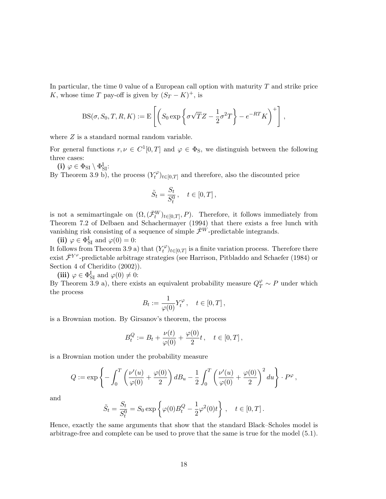In particular, the time  $0$  value of a European call option with maturity  $T$  and strike price K, whose time T pay-off is given by  $(S_T - K)^+$ , is

$$
BS(\sigma, S_0, T, R, K) := E\left[ \left( S_0 \exp\left\{ \sigma \sqrt{T} Z - \frac{1}{2} \sigma^2 T \right\} - e^{-RT} K \right)^+ \right],
$$

where  $Z$  is a standard normal random variable.

For general functions  $r, \nu \in C^1[0,T]$  and  $\varphi \in \Phi_S$ , we distinguish between the following three cases:

(i)  $\varphi \in \Phi_{\mathrm{SI}} \setminus \Phi^{\mathrm{I}}_{\mathrm{SI}}$ :

By Theorem 3.9 b), the process  $(Y_t^{\varphi})$  $(t^{\varphi})_{t\in[0,T]}$  and therefore, also the discounted price

$$
\tilde{S}_t = \frac{S_t}{S_t^0}, \quad t \in [0, T],
$$

is not a semimartingale on  $(\Omega, (\bar{\mathcal{F}}_t^W)_{t \in [0,T]}, P)$ . Therefore, it follows immediately from Theorem 7.2 of Delbaen and Schachermayer (1994) that there exists a free lunch with vanishing risk consisting of a sequence of simple  $\bar{\mathcal{F}}^W$ -predictable integrands.

(ii)  $\varphi \in \Phi_{\text{SI}}^{\text{I}}$  and  $\varphi(0) = 0$ :

It follows from Theorem 3.9 a) that  $(Y_t^{\varphi})$  $\mathcal{L}^{\varphi}_{t}(t)_{t\in[0,T]}$  is a finite variation process. Therefore there exist  $\bar{\mathcal{F}}^{Y}$  -predictable arbitrage strategies (see Harrison, Pitbladdo and Schaefer (1984) or Section 4 of Cheridito (2002)).

(iii)  $\varphi \in \Phi_{\text{SI}}^{\text{I}}$  and  $\varphi(0) \neq 0$ :

By Theorem 3.9 a), there exists an equivalent probability measure  $Q_T^{\varphi} \sim P$  under which the process

$$
B_t := \frac{1}{\varphi(0)} Y_t^{\varphi} \,, \quad t \in [0, T] \,,
$$

is a Brownian motion. By Girsanov's theorem, the process

$$
B_t^Q := B_t + \frac{\nu(t)}{\varphi(0)} + \frac{\varphi(0)}{2}t \,, \quad t \in [0, T] \,,
$$

is a Brownian motion under the probability measure

$$
Q := \exp\left\{-\int_0^T \left(\frac{\nu'(u)}{\varphi(0)} + \frac{\varphi(0)}{2}\right) dB_u - \frac{1}{2} \int_0^T \left(\frac{\nu'(u)}{\varphi(0)} + \frac{\varphi(0)}{2}\right)^2 du\right\} \cdot P^{\varphi},\,
$$

and

$$
\tilde{S}_t = \frac{S_t}{S_t^0} = S_0 \exp \left\{ \varphi(0) B_t^Q - \frac{1}{2} \varphi^2(0) t \right\}, \quad t \in [0, T].
$$

Hence, exactly the same arguments that show that the standard Black–Scholes model is arbitrage-free and complete can be used to prove that the same is true for the model (5.1).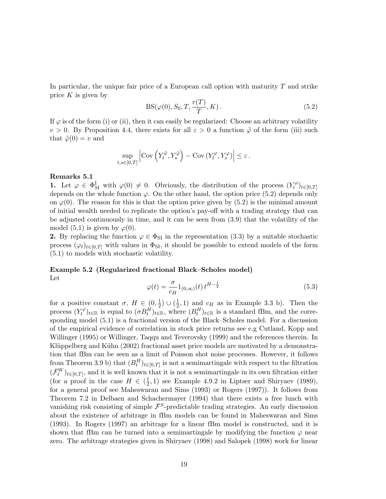In particular, the unique fair price of a European call option with maturity  $T$  and strike price  $K$  is given by

$$
BS(\varphi(0), S_0, T, \frac{r(T)}{T}, K). \tag{5.2}
$$

If  $\varphi$  is of the form (i) or (ii), then it can easily be regularized: Choose an arbitrary volatility  $v > 0$ . By Proposition 4.4, there exists for all  $\varepsilon > 0$  a function  $\tilde{\varphi}$  of the form (iii) such that  $\tilde{\varphi}(0) = v$  and

$$
\sup_{t,s\in[0,T]}\left|\mathrm{Cov}\left(Y_t^{\tilde{\varphi}},Y_s^{\tilde{\varphi}}\right)-\mathrm{Cov}\left(Y_t^{\varphi},Y_s^{\varphi}\right)\right|\leq\varepsilon.
$$

## Remarks 5.1

1. Let  $\varphi \in \Phi_{SI}^I$  with  $\varphi(0) \neq 0$ . Obviously, the distribution of the process  $(Y_t^{\varphi})$  $(t^{\varphi})_{t\in[0,T]}$ depends on the whole function  $\varphi$ . On the other hand, the option price (5.2) depends only on  $\varphi(0)$ . The reason for this is that the option price given by (5.2) is the minimal amount of initial wealth needed to replicate the option's pay-off with a trading strategy that can be adjusted continuously in time, and it can be seen from (3.9) that the volatility of the model (5.1) is given by  $\varphi(0)$ .

2. By replacing the function  $\varphi \in \Phi_{\text{SI}}$  in the representation (3.3) by a suitable stochastic process  $(\varphi_t)_{t\in[0,T]}$  with values in  $\Phi_{\text{SI}}$ , it should be possible to extend models of the form (5.1) to models with stochastic volatility.

# Example 5.2 (Regularized fractional Black–Scholes model) Let

$$
\varphi(t) = \frac{\sigma}{c_H} 1_{(0,\infty)}(t) t^{H-\frac{1}{2}} \tag{5.3}
$$

for a positive constant  $\sigma$ ,  $H \in (0, \frac{1}{2})$  $(\frac{1}{2}) \cup (\frac{1}{2})$  $(\frac{1}{2}, 1)$  and  $c_H$  as in Example 3.3 b). Then the process  $(Y_t^{\varphi})$  $(\mathcal{F}_t^{\varphi})_{t \in \mathbb{R}}$  is equal to  $(\sigma B_t^H)_{t \in \mathbb{R}}$ , where  $(B_t^H)_{t \in \mathbb{R}}$  is a standard fBm, and the corresponding model (5.1) is a fractional version of the Black–Scholes model. For a discussion of the empirical evidence of correlation in stock price returns see e.g Cutland, Kopp and Willinger (1995) or Willinger, Taqqu and Teverovsky (1999) and the references therein. In Klüppelberg and Kühn (2002) fractional asset price models are motivated by a demonstration that fBm can be seen as a limit of Poisson shot noise processes. However, it follows from Theorem 3.9 b) that  $(B_t^H)_{t\in[0,T]}$  is not a semimartingale with respect to the filtration  $(\bar{\mathcal{F}}_t^W)_{t\in[0,T]}$ , and it is well known that it is not a semimartingale in its own filtration either (for a proof in the case  $H \in \left(\frac{1}{2}\right)$  $(\frac{1}{2}, 1)$  see Example 4.9.2 in Liptser and Shiryaev (1989), for a general proof see Maheswaran and Sims (1993) or Rogers (1997)). It follows from Theorem 7.2 in Delbaen and Schachermayer (1994) that there exists a free lunch with vanishing risk consisting of simple  $\bar{\mathcal{F}}^S$ -predictable trading strategies. An early discussion about the existence of arbitrage in fBm models can be found in Maheswaran and Sims (1993). In Rogers (1997) an arbitrage for a linear fBm model is constructed, and it is shown that fBm can be turned into a semimartingale by modifying the function  $\varphi$  near zero. The arbitrage strategies given in Shiryaev (1998) and Salopek (1998) work for linear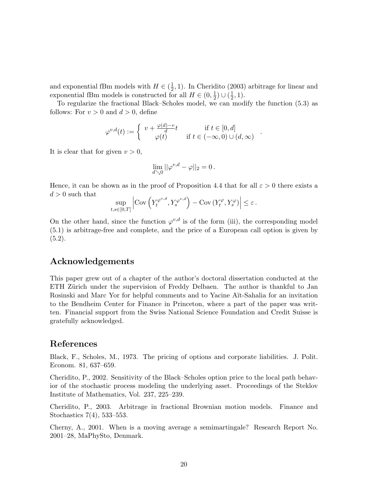and exponential fBm models with  $H \in \left(\frac{1}{2}\right)$  $(\frac{1}{2}, 1)$ . In Cheridito (2003) arbitrage for linear and exponential fBm models is constructed for all  $H \in (0, \frac{1}{2})$  $(\frac{1}{2}) \cup (\frac{1}{2})$  $(\frac{1}{2}, 1).$ 

To regularize the fractional Black–Scholes model, we can modify the function (5.3) as follows: For  $v > 0$  and  $d > 0$ , define

$$
\varphi^{v,d}(t) := \begin{cases} v + \frac{\varphi(d) - v}{d} t & \text{if } t \in [0, d] \\ \varphi(t) & \text{if } t \in (-\infty, 0) \cup (d, \infty) \end{cases}
$$

.

It is clear that for given  $v > 0$ ,

$$
\lim_{d\searrow 0}||\varphi^{v,d}-\varphi||_2=0\,.
$$

Hence, it can be shown as in the proof of Proposition 4.4 that for all  $\varepsilon > 0$  there exists a  $d > 0$  such that  $\overline{a}$ ´  $\overline{a}$ 

$$
\sup_{t,s\in[0,T]}\left|\mathrm{Cov}\left(Y_t^{\varphi^{v,d}},Y_s^{\varphi^{v,d}}\right)-\mathrm{Cov}\left(Y_t^{\varphi},Y_s^{\varphi}\right)\right|\leq\varepsilon\,.
$$

On the other hand, since the function  $\varphi^{v,d}$  is of the form (iii), the corresponding model (5.1) is arbitrage-free and complete, and the price of a European call option is given by  $(5.2).$ 

## Acknowledgements

This paper grew out of a chapter of the author's doctoral dissertation conducted at the ETH Zürich under the supervision of Freddy Delbaen. The author is thankful to Jan Rosinski and Marc Yor for helpful comments and to Yacine A¨ıt-Sahalia for an invitation to the Bendheim Center for Finance in Princeton, where a part of the paper was written. Financial support from the Swiss National Science Foundation and Credit Suisse is gratefully acknowledged.

## References

Black, F., Scholes, M., 1973. The pricing of options and corporate liabilities. J. Polit. Econom. 81, 637–659.

Cheridito, P., 2002. Sensitivity of the Black–Scholes option price to the local path behavior of the stochastic process modeling the underlying asset. Proceedings of the Steklov Institute of Mathematics, Vol. 237, 225–239.

Cheridito, P., 2003. Arbitrage in fractional Brownian motion models. Finance and Stochastics 7(4), 533–553.

Cherny, A., 2001. When is a moving average a semimartingale? Research Report No. 2001–28, MaPhySto, Denmark.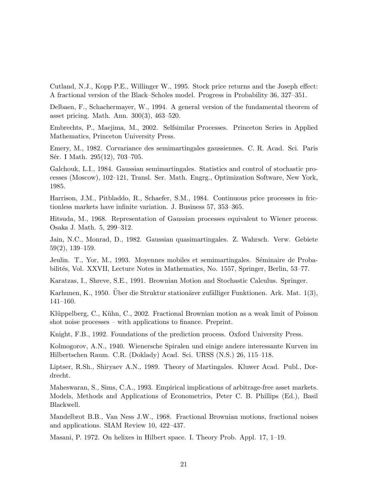Cutland, N.J., Kopp P.E., Willinger W., 1995. Stock price returns and the Joseph effect: A fractional version of the Black–Scholes model. Progress in Probability 36, 327–351.

Delbaen, F., Schachermayer, W., 1994. A general version of the fundamental theorem of asset pricing. Math. Ann. 300(3), 463–520.

Embrechts, P., Maejima, M., 2002. Selfsimilar Processes. Princeton Series in Applied Mathematics, Princeton University Press.

Emery, M., 1982. Corvariance des semimartingales gaussiennes. C. R. Acad. Sci. Paris Sér. I Math. 295(12), 703–705.

Galchouk, L.I., 1984. Gaussian semimartingales. Statistics and control of stochastic processes (Moscow), 102–121, Transl. Ser. Math. Engrg., Optimization Software, New York, 1985.

Harrison, J.M., Pitbladdo, R., Schaefer, S.M., 1984. Continuous price processes in frictionless markets have infinite variation. J. Business 57, 353–365.

Hitsuda, M., 1968. Representation of Gaussian processes equivalent to Wiener process. Osaka J. Math. 5, 299–312.

Jain, N.C., Monrad, D., 1982. Gaussian quasimartingales. Z. Wahrsch. Verw. Gebiete 59(2), 139–159.

Jeulin. T., Yor, M., 1993. Moyennes mobiles et semimartingales. Séminaire de Probabilités, Vol. XXVII, Lecture Notes in Mathematics, No. 1557, Springer, Berlin, 53–77.

Karatzas, I., Shreve, S.E., 1991. Brownian Motion and Stochastic Calculus. Springer.

Karhunen, K., 1950. Uber die Struktur stationärer zufälliger Funktionen. Ark. Mat. 1(3), 141–160.

Klüppelberg, C., Kühn, C., 2002. Fractional Brownian motion as a weak limit of Poisson shot noise processes – with applications to finance. Preprint.

Knight, F.B., 1992. Foundations of the prediction process. Oxford University Press.

Kolmogorov, A.N., 1940. Wienersche Spiralen und einige andere interessante Kurven im Hilbertschen Raum. C.R. (Doklady) Acad. Sci. URSS (N.S.) 26, 115–118.

Liptser, R.Sh., Shiryaev A.N., 1989. Theory of Martingales. Kluwer Acad. Publ., Dordrecht.

Maheswaran, S., Sims, C.A., 1993. Empirical implications of arbitrage-free asset markets. Models, Methods and Applications of Econometrics, Peter C. B. Phillips (Ed.), Basil Blackwell.

Mandelbrot B.B., Van Ness J.W., 1968. Fractional Brownian motions, fractional noises and applications. SIAM Review 10, 422–437.

Masani, P. 1972. On helixes in Hilbert space. I. Theory Prob. Appl. 17, 1–19.